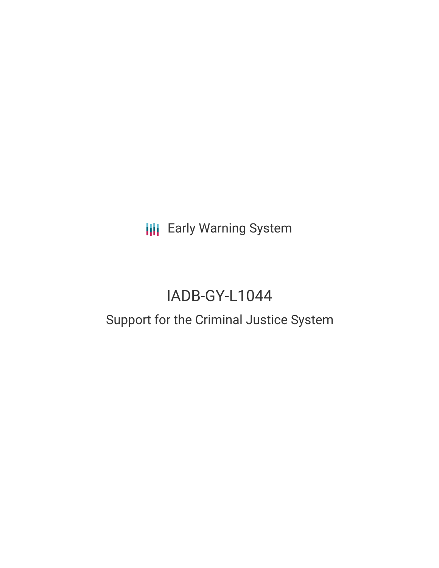**III** Early Warning System

# IADB-GY-L1044

# Support for the Criminal Justice System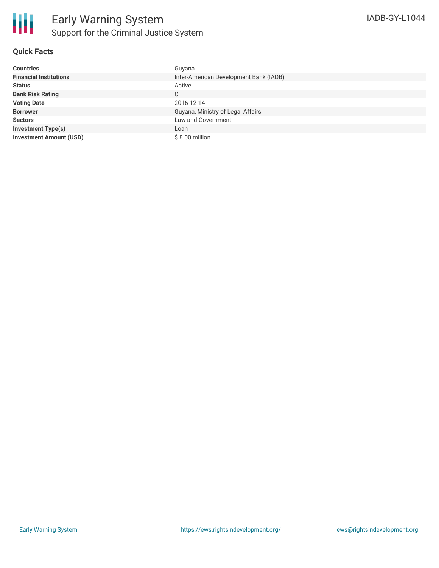

#### **Quick Facts**

| <b>Countries</b>               | Guyana                                 |
|--------------------------------|----------------------------------------|
| <b>Financial Institutions</b>  | Inter-American Development Bank (IADB) |
| <b>Status</b>                  | Active                                 |
| <b>Bank Risk Rating</b>        | C                                      |
| <b>Voting Date</b>             | 2016-12-14                             |
| <b>Borrower</b>                | Guyana, Ministry of Legal Affairs      |
| <b>Sectors</b>                 | Law and Government                     |
| <b>Investment Type(s)</b>      | Loan                                   |
| <b>Investment Amount (USD)</b> | $$8.00$ million                        |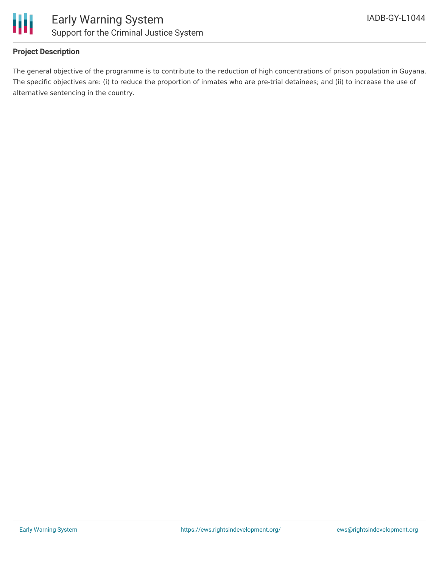

## **Project Description**

The general objective of the programme is to contribute to the reduction of high concentrations of prison population in Guyana. The specific objectives are: (i) to reduce the proportion of inmates who are pre-trial detainees; and (ii) to increase the use of alternative sentencing in the country.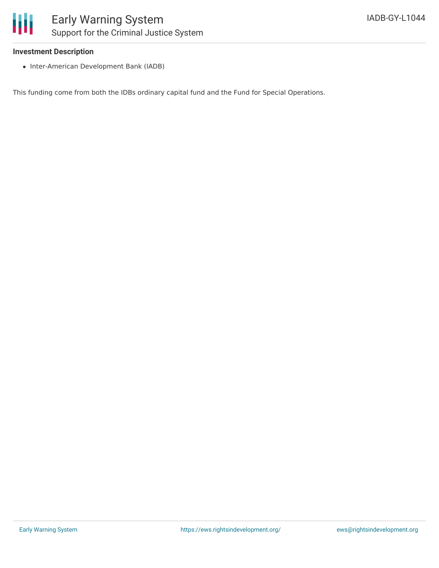

#### **Investment Description**

• Inter-American Development Bank (IADB)

This funding come from both the IDBs ordinary capital fund and the Fund for Special Operations.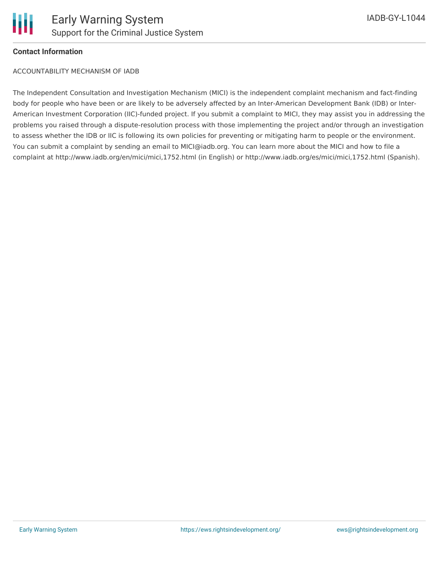

#### **Contact Information**

ACCOUNTABILITY MECHANISM OF IADB

The Independent Consultation and Investigation Mechanism (MICI) is the independent complaint mechanism and fact-finding body for people who have been or are likely to be adversely affected by an Inter-American Development Bank (IDB) or Inter-American Investment Corporation (IIC)-funded project. If you submit a complaint to MICI, they may assist you in addressing the problems you raised through a dispute-resolution process with those implementing the project and/or through an investigation to assess whether the IDB or IIC is following its own policies for preventing or mitigating harm to people or the environment. You can submit a complaint by sending an email to MICI@iadb.org. You can learn more about the MICI and how to file a complaint at http://www.iadb.org/en/mici/mici,1752.html (in English) or http://www.iadb.org/es/mici/mici,1752.html (Spanish).